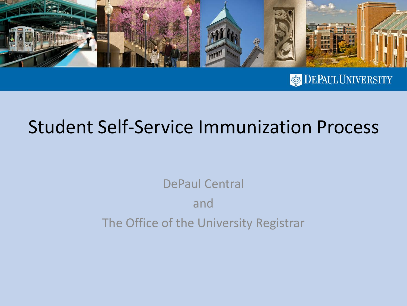

**DEPAUL UNIVERSITY** 

## Student Self-Service Immunization Process

DePaul Central and The Office of the University Registrar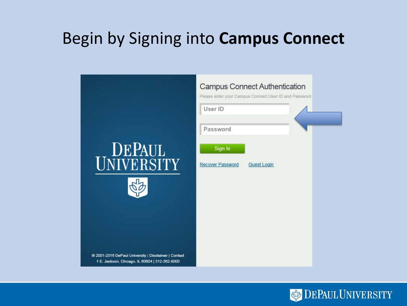### Begin by Signing into **Campus Connect**

|                                                                                                        | <b>Campus Connect Authentication</b><br>Please enter your Campus Connect User ID and Password |
|--------------------------------------------------------------------------------------------------------|-----------------------------------------------------------------------------------------------|
|                                                                                                        | User ID                                                                                       |
|                                                                                                        | Password                                                                                      |
| <b>DEPAUL</b><br>UNIVERSITY                                                                            | Sign In<br><b>Recover Password</b><br><b>Guest Login</b>                                      |
|                                                                                                        |                                                                                               |
| @ 2001-2016 DePaul University   Disclaimer   Contact<br>1 E. Jackson, Chicago, IL 60604   312-362-8000 |                                                                                               |

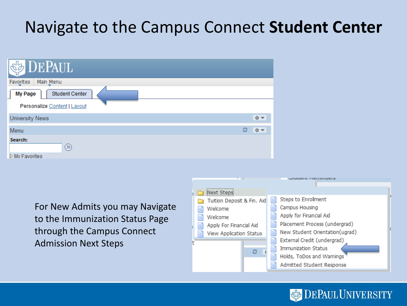## Navigate to the Campus Connect **Student Center**

| <b>DEPAUL</b>                           |   |    |
|-----------------------------------------|---|----|
| Favorites<br>Main Menu                  |   |    |
| <b>Student Center</b><br><b>My Page</b> |   |    |
| Personalize Content   Layout            |   |    |
| <b>University News</b>                  |   | 章  |
| Menu                                    | ့ | 章マ |
| Search:<br>$\circledcirc$               |   |    |
| ▷ My Favorites                          |   |    |

For New Admits you may Navigate to the Immunization Status Page through the Campus Connect Admission Next Steps



**DEPAUL UNIVERSITY**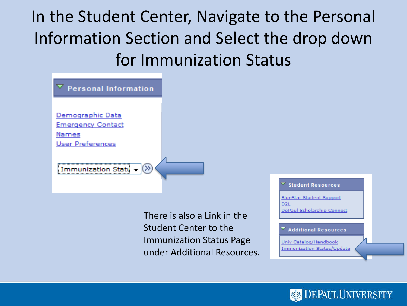In the Student Center, Navigate to the Personal Information Section and Select the drop down for Immunization Status

| <b>Personal Information</b>                           |  |
|-------------------------------------------------------|--|
| Demographic Data<br><b>Emergency Contact</b>          |  |
| Names<br><b>User Preferences</b>                      |  |
| $\mathcal{D}_{\mathcal{C}}$<br>Immunization Statu $-$ |  |

There is also a Link in the Student Center to the Immunization Status Page under Additional Resources. **Student Resources** 

**BlueStar Student Support** D<sub>2L</sub> DePaul Scholarship Connect

**Additional Resources** 

Univ Catalog/Handbook **Immunization Status/Update** 

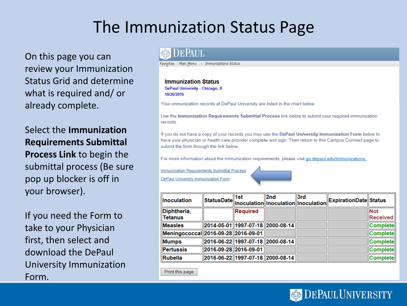## The Immunization Status Page

On this page you can review your Immunization Status Grid and determine what is required and/ or already complete.

Select the **Immunization Requirements Submittal Process Link** to begin the submittal process (Be sure pop up blocker is off in your browser).

If you need the Form to take to your Physician first, then select and download the DePaul University Immunization Form.

#### eePaul

Favorites | Main Menu > Immunizations Status

#### **Immunization Status**

**DePaul University - Chicago, II** 10/26/2016

Your immunization records at DePaul University are listed in the chart below.

Use the Immunization Requirements Submittal Process link below to submit your required immunization records

If you do not have a copy of your records you may use the DePaul University Immunization Form below to have your physician or health care provider complete and sign. Then return to this Campus Connect page to submit the form through the link below.

For more information about the immunization requirements, please visit go.depaul.edu/immunizations.

**Immunization Requirements Submittal Process** 

DePaul University Immunization Form

| <b>Inoculation</b>                  |                       |          |                                  | StatusDate 1st 2nd 3rd<br>StatusDate Inoculation Inoculation Inoculation ExpirationDate Status |                        |
|-------------------------------------|-----------------------|----------|----------------------------------|------------------------------------------------------------------------------------------------|------------------------|
| Diphtheria,<br>∥Tetanus             |                       | Required |                                  |                                                                                                | <b>Not</b><br>Received |
| <b>Measles</b>                      |                       |          | 2014-05-01 1997-07-18 2000-08-14 |                                                                                                | <b>Complete</b>        |
| Meningococcal 2016-09-28 2016-09-01 |                       |          |                                  |                                                                                                | <b>Complete</b>        |
| Mumps                               |                       |          | 2016-06-22 1997-07-18 2000-08-14 |                                                                                                | <b>Complete</b>        |
| Pertussis                           | 2016-09-28 2016-09-01 |          |                                  |                                                                                                | <b>Complete</b>        |
| <b>Rubella</b>                      |                       |          | 2016-06-22 1997-07-18 2000-08-14 |                                                                                                | Complete               |

Print this page

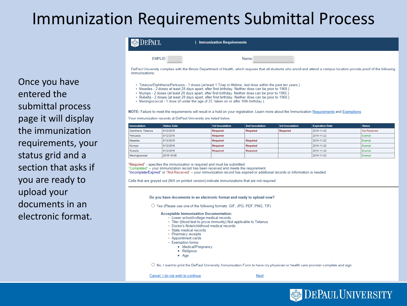#### **Immunization Requirements Submittal Process**

| <b>DEPAUL</b> | <b>Immunization Requirements</b> |  |
|---------------|----------------------------------|--|
| EMPLID:       | Name:                            |  |

DePaul University complies with the Illinois Department of Health, which requires that all students who enroll and attend a campus location provide proof of the following immunizations:

- . Tetanus/Diphtheria/Pertussis 3 doses (at least 1 Tdap in lifetime, last dose within the past ten years.)
- . Measles 2 doses at least 28 days apart, after first birthday. Neither dose can be prior to 1968.)
- . Mumps 2 doses (at least 28 days apart, after first birthday, Neither dose can be prior to 1968.)
- · Rubella 2 doses (at least 28 days apart, after first birthday. Neither dose can be prior to 1968.)
- Meningococcal 1 dose (if under the age of 22, taken on or after 16th birthday.)

NOTE: Failure to meet the requirements will result in a hold on your registration. Learn more about the Immunization Requirements and Exemptions

Your immunization records at DePaul University are listed below.

| <b>Innoculation</b> | <b>Status Date</b> | <b>1st Inoculation</b> | <b>2nd Inoculation</b> | 3rd Inoculation | <b>Expiration Date</b> | <b>Status</b> |
|---------------------|--------------------|------------------------|------------------------|-----------------|------------------------|---------------|
| Diphtheria, Tetanus | 8/12/2016          | Required               | Required               | Required        | 2016-11-22             | Not Received  |
| Pertussis           | 8/12/2016          | Required               |                        |                 | 2016-11-22             | Exempt        |
| Measles             | 8/12/2016          | Required               | Required               |                 | 2016-11-22             | Exempt        |
| Mumps               | 8/12/2016          | Required               | Required               |                 | 2016-11-22             | Exempt        |
| Rubella             | 8/12/2016          | Required               | <b>Required</b>        |                 | 2016-11-22             | Exempt        |
| Meningococcal       | 2016-10-06         |                        |                        |                 | 2016-11-22             | Exempt        |

"Required" - specifies the immunization is required and must be submitted. "Completed" – your immunization record has been received and meets the requirement. "Incomplete/Expired" or "Not Received" - your immunization record has expired or additional records or information is needed.

Cells that are grayed out (N/A on printed version) indicate immunizations that are not required

#### Do you have documents in an electronic format and ready to upload now?

O Yes (Please use one of the following formats: GIF, JPG, PDF, PNG, TIF)

#### **Acceptable Immunization Documentation:**

- · Lower school/college medical records
- Titer (blood test to prove immunity) Not applicable to Tetanus
- · Doctor's Note/childhood medical records
- · State medical records
- Pharmacy receipts
- Appointment cards
- Exemption forms:
	- Medical/Pregnancy
	- Religious
	- $Aq$ e

 $\circ$  No, I want to print the DePaul University Immunization Form to have my physician or health care provider complete and sign.

Cancel, I do not wish to continue

<u>Next</u>



Once you have entered the submittal process page it will display the immunization requirements, your status grid and a section that asks if you are ready to upload your documents in an electronic format.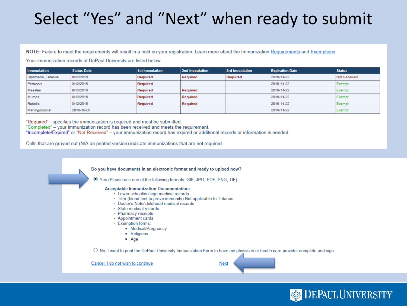## Select "Yes" and "Next" when ready to submit

NOTE: Failure to meet the requirements will result in a hold on your registration. Learn more about the Immunization Requirements and Exemptions

Your immunization records at DePaul University are listed below.

| <b>Innoculation</b> | <b>Status Date</b> | <b>1st Inoculation</b> | 2nd Inoculation | <b>3rd Inoculation</b> | <b>Expiration Date</b> | <b>Status</b> |
|---------------------|--------------------|------------------------|-----------------|------------------------|------------------------|---------------|
| Diphtheria, Tetanus | 8/12/2016          | Required               | Required        | Required               | 2016-11-22             | Not Received  |
| Pertussis           | 8/12/2016          | Required               |                 |                        | 2016-11-22             | Exempt        |
| Measles             | 8/12/2016          | Required               | Required        |                        | 2016-11-22             | Exempt        |
| Mumps               | 8/12/2016          | Required               | Required        |                        | 2016-11-22             | Exempt        |
| Rubella             | 8/12/2016          | Required               | Required        |                        | 2016-11-22             | Exempt        |
| Meningococcal       | 2016-10-06         |                        |                 |                        | 2016-11-22             | Exempt        |

"Required" - specifies the immunization is required and must be submitted. "Completed" - your immunization record has been received and meets the requirement. "Incomplete/Expired" or "Not Received" - your immunization record has expired or additional records or information is needed.

Cells that are grayed out (N/A on printed version) indicate immunizations that are not required

Do you have documents in an electronic format and ready to upload now?

⊙ Yes (Please use one of the following formats: GIF, JPG, PDF, PNG, TIF)

#### **Acceptable Immunization Documentation:**

- · Lower school/college medical records
- Titer (blood test to prove immunity) Not applicable to Tetanus
- · Doctor's Note/childhood medical records
- · State medical records
- Pharmacy receipts
- Appointment cards
- Exemption forms:
	- Medical/Pregnancy
	- Religious
	- $Aq$ e

 $\circ$  No, I want to print the DePaul University Immunization Form to have my physician or health care provider complete and sign.

**Next** 

**DEPAUL UNIVERSITY** 

Cancel, I do not wish to continue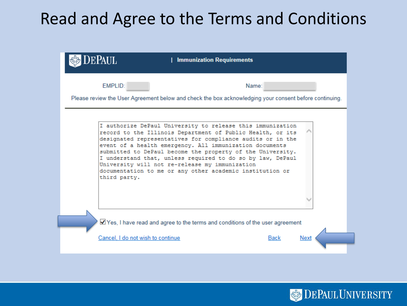### Read and Agree to the Terms and Conditions

| EPAUL<br>  Immunization Requirements                                                                                                                                                                                                                                                                                                                                                                                                                                                                        |                     |
|-------------------------------------------------------------------------------------------------------------------------------------------------------------------------------------------------------------------------------------------------------------------------------------------------------------------------------------------------------------------------------------------------------------------------------------------------------------------------------------------------------------|---------------------|
| EMPLID:<br>Please review the User Agreement below and check the box acknowledging your consent before continuing.                                                                                                                                                                                                                                                                                                                                                                                           | Name:               |
| I authorize DePaul University to release this immunization<br>record to the Illinois Department of Public Health, or its<br>designated representatives for compliance audits or in the<br>event of a health emergency. All immunization documents<br>submitted to DePaul become the property of the University.<br>I understand that, unless required to do so by law, DePaul<br>University will not re-release my immunization<br>documentation to me or any other academic institution or<br>third party. |                     |
| Yes, I have read and agree to the terms and conditions of the user agreement<br>Cancel, I do not wish to continue                                                                                                                                                                                                                                                                                                                                                                                           | <b>Back</b><br>Next |

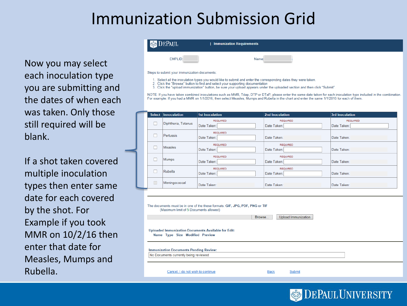### Immunization Submission Grid

Now you may select each inoculation type you are submitting and the dates of when each was taken. Only those still required will be blank.

If a shot taken covered multiple inoculation types then enter same date for each covered by the shot. For Example if you took MMR on 10/2/16 then enter that date for Measles, Mumps and Rubella.

| <b>DEPAUL</b>                                | <b>Immunization Requirements</b>                                                                                        |
|----------------------------------------------|-------------------------------------------------------------------------------------------------------------------------|
| EMPLID:                                      | Name:                                                                                                                   |
| Steps to submit your immunization documents: | A CONTRACTED the contraction are concerned the association and concealed concerned than during the concerned activities |

- Select all the inoculation types you would like to submit and enter the corresponding dates they were taken
- Click the "Browse" button to find and select your supporting documentation
- 3 Click the "upload immunization" button, be sure your upload appears under the uploaded section and then click "Submit"

NOTE: If you have taken combined inoculations such as MMR, Tdap, DTP or DTaP, please enter the same date taken for each inoculation type included in the combination. For example: If you had a MMR on 1/1/2016, then select Measles, Mumps and Rubella in the chart and enter the same 1/1/2016 for each of them.

| <b>Select</b> | Innoculation        | <b>1st Inoculation</b>         | 2nd Inoculation                | <b>3rd Inoculation</b>         |
|---------------|---------------------|--------------------------------|--------------------------------|--------------------------------|
|               | Diphtheria, Tetanus | <b>REQUIRED</b><br>Date Taken: | <b>REQUIRED</b><br>Date Taken: | <b>REQUIRED</b><br>Date Taken: |
| □             | Pertussis           | <b>REQUIRED</b><br>Date Taken: | Date Taken:                    | Date Taken:                    |
|               | <b>Measles</b>      | <b>REQUIRED</b><br>Date Taken: | <b>REQUIRED</b><br>Date Taken: | Date Taken:                    |
|               | Mumps               | <b>REQUIRED</b><br>Date Taken: | <b>REQUIRED</b><br>Date Taken: | Date Taken:                    |
| □             | Rubella             | <b>REQUIRED</b><br>Date Taken: | <b>REQUIRED</b><br>Date Taken: | Date Taken:                    |
| Г             | Meningococcal       | Date Taken:                    | Date Taken:                    | Date Taken:                    |

| The documents must be in one of the these formats: GIF, JPG, PDF, PNG or TIF<br>(Maximum limit of 5 Documents allowed) | Browse<br>Upload Immunization |
|------------------------------------------------------------------------------------------------------------------------|-------------------------------|
| <b>Uploaded Immunization Documents Available for Edit:</b><br>Name Type Size Modified Preview                          |                               |
| <b>Immunization Documents Pending Review:</b><br>No Documents currently being reviewed                                 |                               |
| Cancel, I do not wish to continue                                                                                      | Back<br>Submit                |

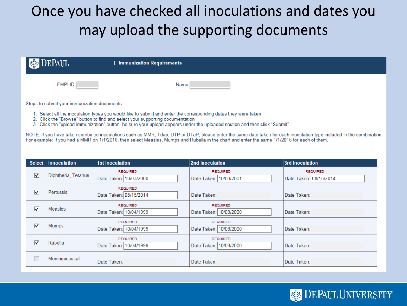#### Once you have checked all inoculations and dates you may upload the supporting documents

| <b>DEPAUL</b> | <b>Immunization Requirements</b> |
|---------------|----------------------------------|
| EMPLID:       | Name:                            |

Steps to submit your immunization documents:

- 1. Select all the inoculation types you would like to submit and enter the corresponding dates they were taken.
- 2. Click the "Browse" button to find and select your supporting documentation
- 3. Click the "upload immunization" button, be sure your upload appears under the uploaded section and then click "Submit".

NOTE: If you have taken combined inoculations such as MMR, Tdap, DTP or DTaP, please enter the same date taken for each inoculation type included in the combination. For example: If you had a MMR on 1/1/2016, then select Measles, Mumps and Rubella in the chart and enter the same 1/1/2016 for each of them.

|                      | Select Innoculation | <b>1st Inoculation</b>                    | 2nd Inoculation                           | <b>3rd Inoculation</b>                    |
|----------------------|---------------------|-------------------------------------------|-------------------------------------------|-------------------------------------------|
| $\blacktriangledown$ | Diphtheria, Tetanus | <b>REQUIRED</b><br>Date Taken: 10/03/2000 | <b>REQUIRED</b><br>Date Taken: 10/08/2001 | <b>REQUIRED</b><br>Date Taken: 08/15/2014 |
| ✔                    | Pertussis           | <b>REQUIRED</b><br>Date Taken: 08/15/2014 | Date Taken:                               | Date Taken:                               |
| ✓                    | <b>Measles</b>      | <b>REQUIRED</b><br>Date Taken: 10/04/1999 | <b>REQUIRED</b><br>Date Taken: 10/03/2000 | Date Taken:                               |
| ✔                    | <b>Mumps</b>        | <b>REQUIRED</b><br>Date Taken: 10/04/1999 | <b>REQUIRED</b><br>Date Taken: 10/03/2000 | Date Taken:                               |
| ✔                    | Rubella             | <b>REQUIRED</b><br>Date Taken: 10/04/1999 | <b>REQUIRED</b><br>Date Taken: 10/03/2000 | Date Taken:                               |
| □                    | Meningococcal       | Date Taken:                               | Date Taken:                               | Date Taken:                               |

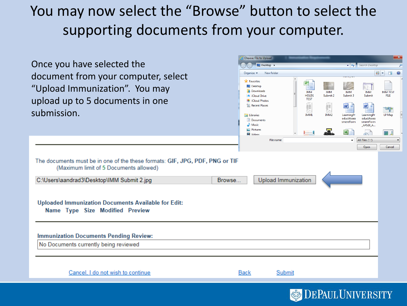#### You may now select the "Browse" button to select the supporting documents from your computer.

| Once you have selected the<br>document from your computer, select<br>"Upload Immunization". You may<br>upload up to 5 documents in one<br>submission.                                                                                                                                                                  | Choose File to Upload<br>Desktop ><br>New folder<br>Organize $\blacktriangledown$<br><b>X</b> Favorites<br>Desktop<br><b>In</b> Downloads<br>Cloud Drive<br><b>E</b> iCloud Photos<br>Recent Places<br><b>Ed Libraries</b><br>Documents<br>Music<br>Pictures<br><b>N</b> Videos<br>File name: | 不開<br>IMM<br><b>IMM</b><br><b>HOLDS</b><br>Submit 2<br><b>TEST</b><br>E<br>ëΕ<br>56<br>IMM1<br>IMM <sub>2</sub> | v + Search Desktop<br><b>IMM</b><br>IMM<br>Submit 3<br>Submit<br>W<br>W<br>LearningPr<br>LearningPr<br>oductAsses<br>oductAsses<br>smentForm<br>smentForm<br>AP520_A<br>$\overline{\mathbf{x}}$<br>$\mathbb{R}$<br>All Files (*.*)<br>$\overline{\phantom{a}}$<br>Open | $\mathbf{x}$<br>$\mathbf{Q}$<br>$\frac{12}{10}$<br>団<br><b>IMM TEST</b><br><b>FILE</b><br>LP Map<br>一見<br>Cancel |
|------------------------------------------------------------------------------------------------------------------------------------------------------------------------------------------------------------------------------------------------------------------------------------------------------------------------|-----------------------------------------------------------------------------------------------------------------------------------------------------------------------------------------------------------------------------------------------------------------------------------------------|-----------------------------------------------------------------------------------------------------------------|------------------------------------------------------------------------------------------------------------------------------------------------------------------------------------------------------------------------------------------------------------------------|------------------------------------------------------------------------------------------------------------------|
| The documents must be in one of the these formats: GIF, JPG, PDF, PNG or TIF<br>(Maximum limit of 5 Documents allowed)<br>C:\Users\aandrad3\Desktop\IMM Submit 2.jpg<br><b>Uploaded Immunization Documents Available for Edit:</b><br>Name Type Size Modified Preview<br><b>Immunization Documents Pending Review:</b> | Browse                                                                                                                                                                                                                                                                                        | <b>Upload Immunization</b>                                                                                      |                                                                                                                                                                                                                                                                        |                                                                                                                  |
| No Documents currently being reviewed<br>Cancel, I do not wish to continue                                                                                                                                                                                                                                             | <b>Back</b>                                                                                                                                                                                                                                                                                   | Submit                                                                                                          | <b>SA DEDAIII HAIVED CITY</b>                                                                                                                                                                                                                                          |                                                                                                                  |

AULIUNIV DIN) I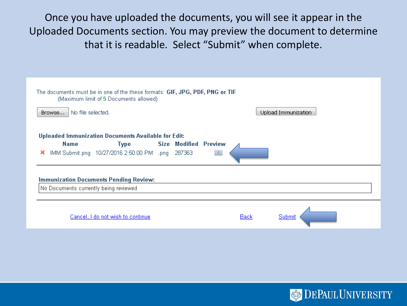Once you have uploaded the documents, you will see it appear in the Uploaded Documents section. You may preview the document to determine that it is readable. Select "Submit" when complete.

| The documents must be in one of the these formats: GIF, JPG, PDF, PNG or TIF<br>(Maximum limit of 5 Documents allowed)      |                                   |                              |  |                |             |  |                     |  |
|-----------------------------------------------------------------------------------------------------------------------------|-----------------------------------|------------------------------|--|----------------|-------------|--|---------------------|--|
| No file selected.<br>Browse                                                                                                 |                                   |                              |  |                |             |  | Upload Immunization |  |
| Uploaded Immunization Documents Available for Edit:<br><b>Name</b><br>IMM Submit.png 10/27/2016 2:50:00 PM .png 287363<br>× | Type                              | <b>Size Modified Preview</b> |  | $\overline{a}$ |             |  |                     |  |
| <b>Immunization Documents Pending Review:</b><br>No Documents currently being reviewed                                      |                                   |                              |  |                |             |  |                     |  |
|                                                                                                                             | Cancel, I do not wish to continue |                              |  |                | <b>Back</b> |  | Submit              |  |

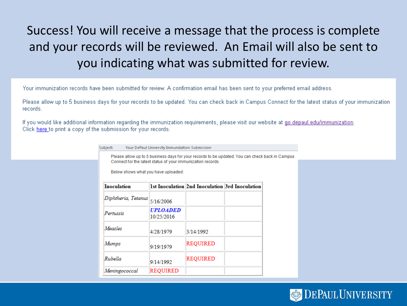#### Success! You will receive a message that the process is complete and your records will be reviewed. An Email will also be sent to you indicating what was submitted for review.

Your immunization records have been submitted for review. A confirmation email has been sent to your preferred email address.

Please allow up to 5 business days for your records to be updated. You can check back in Campus Connect for the latest status of your immunization records.

If you would like additional information regarding the immunization requirements, please visit our website at go.depaul.edu/immunization. Click here to print a copy of the submission for your records.

| Subject:                            | Your DePaul University Immunization Submission              |                                                                                                 |  |
|-------------------------------------|-------------------------------------------------------------|-------------------------------------------------------------------------------------------------|--|
| Below shows what you have uploaded: | Connect for the latest status of your immunization records. | Please allow up to 5 business days for your records to be updated. You can check back in Campus |  |
| <b>Inoculation</b>                  |                                                             | 1st Inoculation 2nd Inoculation 3rd Inoculation                                                 |  |
| Diphtheria, Tetanus                 | 5/16/2006                                                   |                                                                                                 |  |
| Pertussis                           | <i><b>UPLOADED</b></i><br>10/25/2016                        |                                                                                                 |  |
| Measles                             | 4/28/1979                                                   | 3/14/1992                                                                                       |  |
| Mumps                               | 9/19/1979                                                   | REOUIRED                                                                                        |  |
| Rubella                             | 9/14/1992                                                   | REOUIRED                                                                                        |  |
| Meningococcal                       | REQUIRED                                                    |                                                                                                 |  |